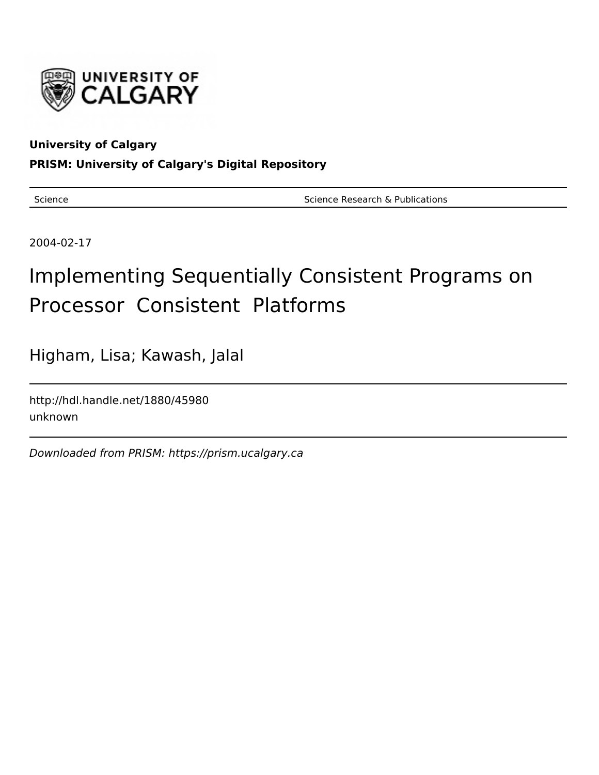

## **University of Calgary**

**PRISM: University of Calgary's Digital Repository**

Science **Science Research & Publications** Science Research & Publications

2004-02-17

# Implementing Sequentially Consistent Programs on Processor Consistent Platforms

Higham, Lisa; Kawash, Jalal

http://hdl.handle.net/1880/45980 unknown

Downloaded from PRISM: https://prism.ucalgary.ca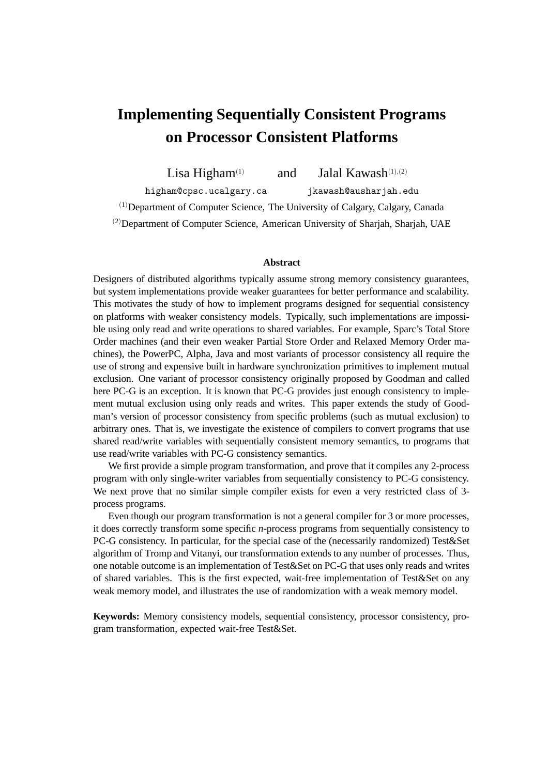# **Implementing Sequentially Consistent Programs on Processor Consistent Platforms**

Lisa Higham<sup>(1)</sup> and Jalal Kawash<sup>(1),(2)</sup>

higham@cpsc.ucalgary.ca jkawash@ausharjah.edu

 $(1)$ Department of Computer Science, The University of Calgary, Calgary, Canada

(2)Department of Computer Science, American University of Sharjah, Sharjah, UAE

#### **Abstract**

Designers of distributed algorithms typically assume strong memory consistency guarantees, but system implementations provide weaker guarantees for better performance and scalability. This motivates the study of how to implement programs designed for sequential consistency on platforms with weaker consistency models. Typically, such implementations are impossible using only read and write operations to shared variables. For example, Sparc's Total Store Order machines (and their even weaker Partial Store Order and Relaxed Memory Order machines), the PowerPC, Alpha, Java and most variants of processor consistency all require the use of strong and expensive built in hardware synchronization primitives to implement mutual exclusion. One variant of processor consistency originally proposed by Goodman and called here PC-G is an exception. It is known that PC-G provides just enough consistency to implement mutual exclusion using only reads and writes. This paper extends the study of Goodman's version of processor consistency from specific problems (such as mutual exclusion) to arbitrary ones. That is, we investigate the existence of compilers to convert programs that use shared read/write variables with sequentially consistent memory semantics, to programs that use read/write variables with PC-G consistency semantics.

We first provide a simple program transformation, and prove that it compiles any 2-process program with only single-writer variables from sequentially consistency to PC-G consistency. We next prove that no similar simple compiler exists for even a very restricted class of 3 process programs.

Even though our program transformation is not a general compiler for 3 or more processes, it does correctly transform some specific *n*-process programs from sequentially consistency to PC-G consistency. In particular, for the special case of the (necessarily randomized) Test&Set algorithm of Tromp and Vitanyi, our transformation extends to any number of processes. Thus, one notable outcome is an implementation of Test&Set on PC-G that uses only reads and writes of shared variables. This is the first expected, wait-free implementation of Test&Set on any weak memory model, and illustrates the use of randomization with a weak memory model.

**Keywords:** Memory consistency models, sequential consistency, processor consistency, program transformation, expected wait-free Test&Set.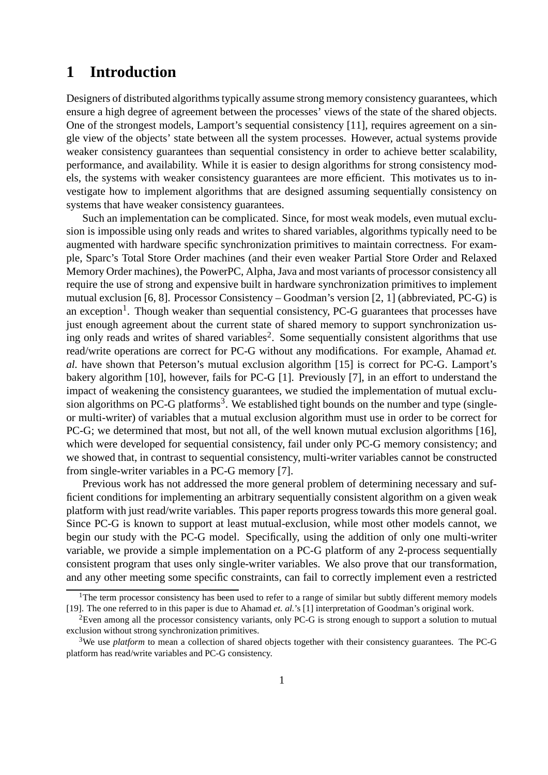# **1 Introduction**

Designers of distributed algorithms typically assume strong memory consistency guarantees, which ensure a high degree of agreement between the processes' views of the state of the shared objects. One of the strongest models, Lamport's sequential consistency [11], requires agreement on a single view of the objects' state between all the system processes. However, actual systems provide weaker consistency guarantees than sequential consistency in order to achieve better scalability, performance, and availability. While it is easier to design algorithms for strong consistency models, the systems with weaker consistency guarantees are more efficient. This motivates us to investigate how to implement algorithms that are designed assuming sequentially consistency on systems that have weaker consistency guarantees.

Such an implementation can be complicated. Since, for most weak models, even mutual exclusion is impossible using only reads and writes to shared variables, algorithms typically need to be augmented with hardware specific synchronization primitives to maintain correctness. For example, Sparc's Total Store Order machines (and their even weaker Partial Store Order and Relaxed Memory Order machines), the PowerPC, Alpha, Java and most variants of processor consistency all require the use of strong and expensive built in hardware synchronization primitives to implement mutual exclusion [6, 8]. Processor Consistency – Goodman's version [2, 1] (abbreviated, PC-G) is an exception<sup>1</sup>. Though weaker than sequential consistency, PC-G guarantees that processes have just enough agreement about the current state of shared memory to support synchronization using only reads and writes of shared variables<sup>2</sup>. Some sequentially consistent algorithms that use read/write operations are correct for PC-G without any modifications. For example, Ahamad *et. al.* have shown that Peterson's mutual exclusion algorithm [15] is correct for PC-G. Lamport's bakery algorithm [10], however, fails for PC-G [1]. Previously [7], in an effort to understand the impact of weakening the consistency guarantees, we studied the implementation of mutual exclusion algorithms on PC-G platforms<sup>3</sup>. We established tight bounds on the number and type (singleor multi-writer) of variables that a mutual exclusion algorithm must use in order to be correct for PC-G; we determined that most, but not all, of the well known mutual exclusion algorithms [16], which were developed for sequential consistency, fail under only PC-G memory consistency; and we showed that, in contrast to sequential consistency, multi-writer variables cannot be constructed from single-writer variables in a PC-G memory [7].

Previous work has not addressed the more general problem of determining necessary and sufficient conditions for implementing an arbitrary sequentially consistent algorithm on a given weak platform with just read/write variables. This paper reports progress towards this more general goal. Since PC-G is known to support at least mutual-exclusion, while most other models cannot, we begin our study with the PC-G model. Specifically, using the addition of only one multi-writer variable, we provide a simple implementation on a PC-G platform of any 2-process sequentially consistent program that uses only single-writer variables. We also prove that our transformation, and any other meeting some specific constraints, can fail to correctly implement even a restricted

<sup>&</sup>lt;sup>1</sup>The term processor consistency has been used to refer to a range of similar but subtly different memory models [19]. The one referred to in this paper is due to Ahamad *et. al.*'s [1] interpretation of Goodman's original work.

<sup>2</sup>Even among all the processor consistency variants, only PC-G is strong enough to support a solution to mutual exclusion without strong synchronization primitives.

<sup>3</sup>We use *platform* to mean a collection of shared objects together with their consistency guarantees. The PC-G platform has read/write variables and PC-G consistency.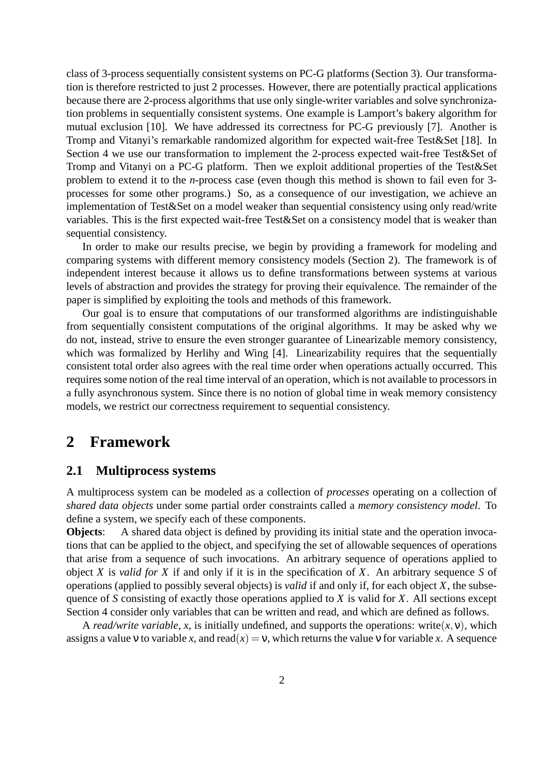class of 3-process sequentially consistent systems on PC-G platforms (Section 3). Our transformation is therefore restricted to just 2 processes. However, there are potentially practical applications because there are 2-process algorithms that use only single-writer variables and solve synchronization problems in sequentially consistent systems. One example is Lamport's bakery algorithm for mutual exclusion [10]. We have addressed its correctness for PC-G previously [7]. Another is Tromp and Vitanyi's remarkable randomized algorithm for expected wait-free Test&Set [18]. In Section 4 we use our transformation to implement the 2-process expected wait-free Test&Set of Tromp and Vitanyi on a PC-G platform. Then we exploit additional properties of the Test&Set problem to extend it to the *n*-process case (even though this method is shown to fail even for 3 processes for some other programs.) So, as a consequence of our investigation, we achieve an implementation of Test&Set on a model weaker than sequential consistency using only read/write variables. This is the first expected wait-free Test&Set on a consistency model that is weaker than sequential consistency.

In order to make our results precise, we begin by providing a framework for modeling and comparing systems with different memory consistency models (Section 2). The framework is of independent interest because it allows us to define transformations between systems at various levels of abstraction and provides the strategy for proving their equivalence. The remainder of the paper is simplified by exploiting the tools and methods of this framework.

Our goal is to ensure that computations of our transformed algorithms are indistinguishable from sequentially consistent computations of the original algorithms. It may be asked why we do not, instead, strive to ensure the even stronger guarantee of Linearizable memory consistency, which was formalized by Herlihy and Wing [4]. Linearizability requires that the sequentially consistent total order also agrees with the real time order when operations actually occurred. This requires some notion of the real time interval of an operation, which is not available to processors in a fully asynchronous system. Since there is no notion of global time in weak memory consistency models, we restrict our correctness requirement to sequential consistency.

### **2 Framework**

### **2.1 Multiprocess systems**

A multiprocess system can be modeled as a collection of *processes* operating on a collection of *shared data objects* under some partial order constraints called a *memory consistency model*. To define a system, we specify each of these components.

**Objects:** A shared data object is defined by providing its initial state and the operation invocations that can be applied to the object, and specifying the set of allowable sequences of operations that arise from a sequence of such invocations. An arbitrary sequence of operations applied to object *X* is *valid for X* if and only if it is in the specification of *X*. An arbitrary sequence *S* of operations (applied to possibly several objects) is *valid* if and only if, for each object *X*, the subsequence of *S* consisting of exactly those operations applied to *X* is valid for *X*. All sections except Section 4 consider only variables that can be written and read, and which are defined as follows.

A *read/write variable*, *x*, is initially undefined, and supports the operations: write $(x, y)$ , which assigns a value v to variable *x*, and read( $x$ ) = v, which returns the value v for variable *x*. A sequence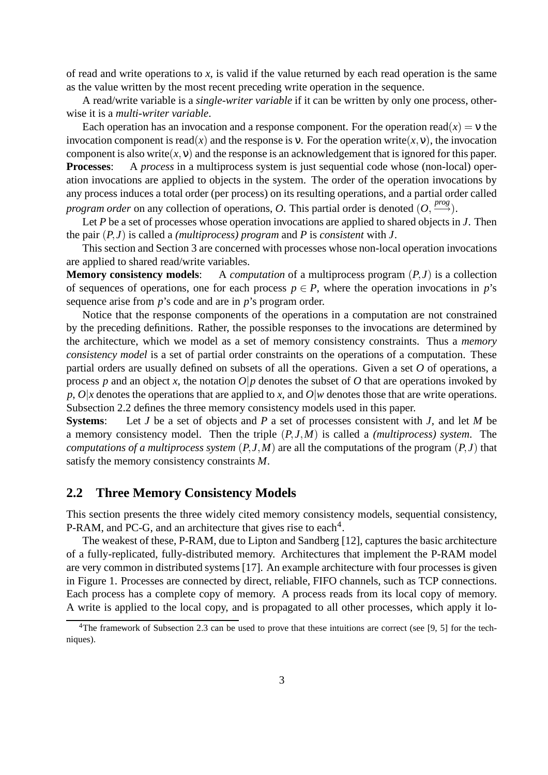of read and write operations to *x*, is valid if the value returned by each read operation is the same as the value written by the most recent preceding write operation in the sequence.

A read/write variable is a *single-writer variable* if it can be written by only one process, otherwise it is a *multi-writer variable*.

Each operation has an invocation and a response component. For the operation read( $x$ ) = v the invocation component is read(*x*) and the response is v. For the operation write(*x*, v), the invocation component is also write $(x, y)$  and the response is an acknowledgement that is ignored for this paper.<br>**Processes:** A *process* in a multiprocess system is just sequential code whose (non-local) oper-A *process* in a multiprocess system is just sequential code whose (non-local) operation invocations are applied to objects in the system. The order of the operation invocations by any process induces a total order (per process) on its resulting operations, and a partial order called *program order* on any collection of operations, *O*. This partial order is denoted  $(O, \frac{prog}{})$ .

Let *P* be a set of processes whose operation invocations are applied to shared objects in *J*. Then the pair  $(P, J)$  is called a *(multiprocess) program* and *P* is *consistent* with *J*.

This section and Section 3 are concerned with processes whose non-local operation invocations are applied to shared read/write variables.

**Memory consistency models**: A *computation* of a multiprocess program  $(P, J)$  is a collection of sequences of operations, one for each process  $p \in P$ , where the operation invocations in *p*'s sequence arise from *p*'s code and are in *p*'s program order.

Notice that the response components of the operations in a computation are not constrained by the preceding definitions. Rather, the possible responses to the invocations are determined by the architecture, which we model as a set of memory consistency constraints. Thus a *memory consistency model* is a set of partial order constraints on the operations of a computation. These partial orders are usually defined on subsets of all the operations. Given a set *O* of operations, a process *p* and an object *x*, the notation  $O|p$  denotes the subset of *O* that are operations invoked by *p*, *O*|*x* denotes the operations that are applied to *x*, and *O*|*w* denotes those that are write operations. Subsection 2.2 defines the three memory consistency models used in this paper.

**Systems**: Let *J* be a set of objects and *P* a set of processes consistent with *J*, and let *M* be a memory consistency model. Then the triple (*P*, *J*,*M*) is called a *(multiprocess) system*. The *computations of a multiprocess system*  $(P, J, M)$  are all the computations of the program  $(P, J)$  that satisfy the memory consistency constraints *M*.

### **2.2 Three Memory Consistency Models**

This section presents the three widely cited memory consistency models, sequential consistency, P-RAM, and PC-G, and an architecture that gives rise to each<sup>4</sup>.

The weakest of these, P-RAM, due to Lipton and Sandberg [12], captures the basic architecture of a fully-replicated, fully-distributed memory. Architectures that implement the P-RAM model are very common in distributed systems [17]. An example architecture with four processes is given in Figure 1. Processes are connected by direct, reliable, FIFO channels, such as TCP connections. Each process has a complete copy of memory. A process reads from its local copy of memory. A write is applied to the local copy, and is propagated to all other processes, which apply it lo-

<sup>&</sup>lt;sup>4</sup>The framework of Subsection 2.3 can be used to prove that these intuitions are correct (see [9, 5] for the techniques).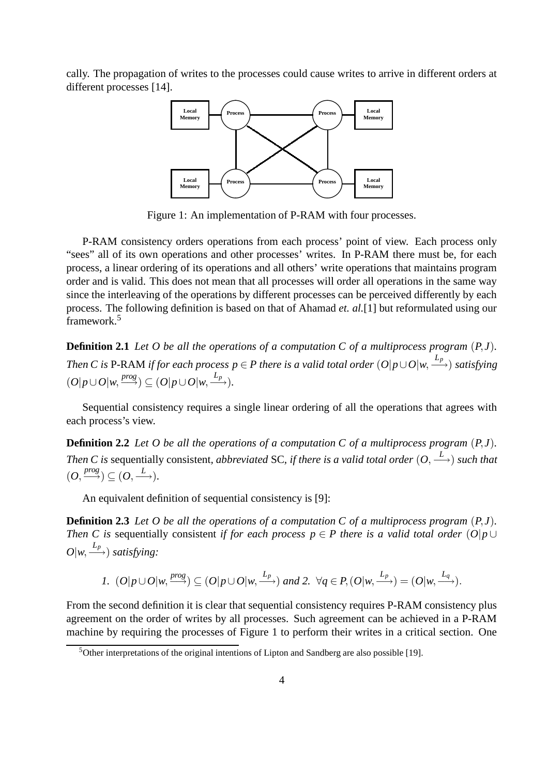cally. The propagation of writes to the processes could cause writes to arrive in different orders at different processes [14].



Figure 1: An implementation of P-RAM with four processes.

P-RAM consistency orders operations from each process' point of view. Each process only "sees" all of its own operations and other processes' writes. In P-RAM there must be, for each process, a linear ordering of its operations and all others' write operations that maintains program order and is valid. This does not mean that all processes will order all operations in the same way since the interleaving of the operations by different processes can be perceived differently by each process. The following definition is based on that of Ahamad *et. al.*[1] but reformulated using our framework.<sup>5</sup>

**Definition 2.1** Let  $O$  be all the operations of a computation  $C$  of a multiprocess program  $(P, J)$ . Then C is P-RAM if for each process  $p \in P$  there is a valid total order  $(O|p\cup O|w, \stackrel{L_p}{\longrightarrow})$  satisfying  $(O|p \cup O|w, \frac{prog}{\longrightarrow}) \subseteq (O|p \cup O|w, \frac{L_p}{\longrightarrow}).$ 

Sequential consistency requires a single linear ordering of all the operations that agrees with each process's view.

**Definition 2.2** Let O be all the operations of a computation C of a multiprocess program  $(P, J)$ . *Then C* is sequentially consistent, *abbreviated* SC, *if there is a valid total order*  $(0, \stackrel{L}{\longrightarrow})$  *such that*  $(O, \xrightarrow{prog} ) \subseteq (O, \xrightarrow{L}).$ 

An equivalent definition of sequential consistency is [9]:

**Definition 2.3** Let O be all the operations of a computation C of a multiprocess program  $(P, J)$ . *Then C is* sequentially consistent *if for each process*  $p \in P$  *there is a valid total order*  $(O|p \cup P)$  $O(w, \stackrel{L_p}{\longrightarrow})$  *satisfying:* 

1. 
$$
(O|p\cup O|w, \xrightarrow{prog}) \subseteq (O|p\cup O|w, \xrightarrow{L_p})
$$
 and 2.  $\forall q \in P, (O|w, \xrightarrow{L_p}) = (O|w, \xrightarrow{L_q}).$ 

From the second definition it is clear that sequential consistency requires P-RAM consistency plus agreement on the order of writes by all processes. Such agreement can be achieved in a P-RAM machine by requiring the processes of Figure 1 to perform their writes in a critical section. One

 $5$ Other interpretations of the original intentions of Lipton and Sandberg are also possible [19].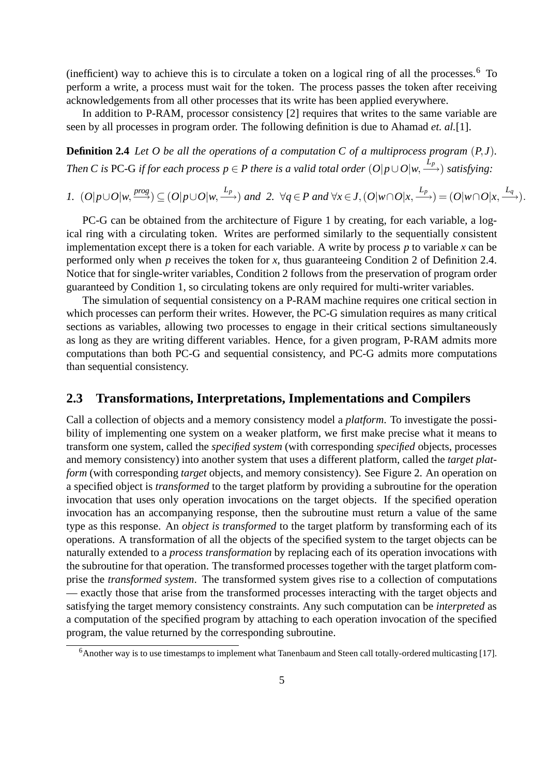(inefficient) way to achieve this is to circulate a token on a logical ring of all the processes.<sup>6</sup> To perform a write, a process must wait for the token. The process passes the token after receiving acknowledgements from all other processes that its write has been applied everywhere.

In addition to P-RAM, processor consistency [2] requires that writes to the same variable are seen by all processes in program order. The following definition is due to Ahamad *et. al.*[1].

**Definition 2.4** Let O be all the operations of a computation C of a multiprocess program  $(P, J)$ . Then C is PC-G if for each process  $p \in P$  there is a valid total order  $(O|p\cup O|w, \stackrel{L_p}{\longrightarrow})$  satisfying:

1.  $(O|p\cup O|w, \frac{prog}{\longrightarrow}) \subseteq (O|p\cup O|w, \frac{L_p}{\longrightarrow})$  and 2.  $\forall q \in P$  and  $\forall x \in J, (O|w\cap O|x, \frac{L_p}{\longrightarrow}) = (O|w\cap O|x, \frac{L_q}{\longrightarrow}).$ 

PC-G can be obtained from the architecture of Figure 1 by creating, for each variable, a logical ring with a circulating token. Writes are performed similarly to the sequentially consistent implementation except there is a token for each variable. A write by process *p* to variable *x* can be performed only when *p* receives the token for *x*, thus guaranteeing Condition 2 of Definition 2.4. Notice that for single-writer variables, Condition 2 follows from the preservation of program order guaranteed by Condition 1, so circulating tokens are only required for multi-writer variables.

The simulation of sequential consistency on a P-RAM machine requires one critical section in which processes can perform their writes. However, the PC-G simulation requires as many critical sections as variables, allowing two processes to engage in their critical sections simultaneously as long as they are writing different variables. Hence, for a given program, P-RAM admits more computations than both PC-G and sequential consistency, and PC-G admits more computations than sequential consistency.

### **2.3 Transformations, Interpretations, Implementations and Compilers**

Call a collection of objects and a memory consistency model a *platform*. To investigate the possibility of implementing one system on a weaker platform, we first make precise what it means to transform one system, called the *specified system* (with corresponding *specified* objects, processes and memory consistency) into another system that uses a different platform, called the *target platform* (with corresponding *target* objects, and memory consistency). See Figure 2. An operation on a specified object is *transformed* to the target platform by providing a subroutine for the operation invocation that uses only operation invocations on the target objects. If the specified operation invocation has an accompanying response, then the subroutine must return a value of the same type as this response. An *object is transformed* to the target platform by transforming each of its operations. A transformation of all the objects of the specified system to the target objects can be naturally extended to a *process transformation* by replacing each of its operation invocations with the subroutine for that operation. The transformed processes together with the target platform comprise the *transformed system*. The transformed system gives rise to a collection of computations — exactly those that arise from the transformed processes interacting with the target objects and satisfying the target memory consistency constraints. Any such computation can be *interpreted* as a computation of the specified program by attaching to each operation invocation of the specified program, the value returned by the corresponding subroutine.

<sup>&</sup>lt;sup>6</sup>Another way is to use timestamps to implement what Tanenbaum and Steen call totally-ordered multicasting [17].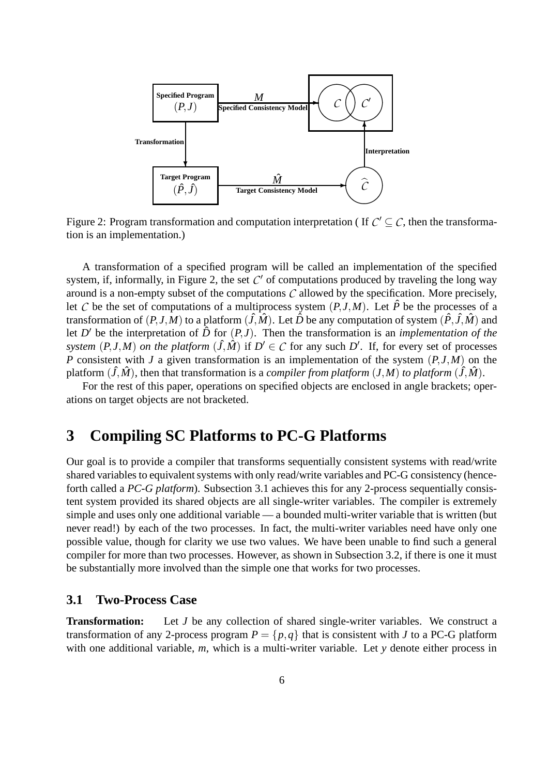

Figure 2: Program transformation and computation interpretation (If  $C' \subseteq C$ , then the transformation is an implementation.)

A transformation of a specified program will be called an implementation of the specified system, if, informally, in Figure 2, the set  $C'$  of computations produced by traveling the long way around is a non-empty subset of the computations *C* allowed by the specification. More precisely, let *C* be the set of computations of a multiprocess system  $(P, J, M)$ . Let  $\hat{P}$  be the processes of a transformation of  $(P, J, M)$  to a platform  $(\hat{J}, \hat{M})$ . Let  $\hat{D}$  be any computation of system  $(\hat{P}, \hat{J}, \hat{M})$  and let *D'* be the interpretation of  $\overrightarrow{D}$  for  $(P, J)$ . Then the transformation is an *implementation* of the *system*  $(P, J, M)$  *on the platform*  $(\hat{J}, \hat{M})$  if  $D' \in C$  for any such  $D'$ . If, for every set of processes *P* consistent with *J* a given transformation is an implementation of the system  $(P, J, M)$  on the platform  $(\hat{J}, \hat{M})$ , then that transformation is a *compiler from platform*  $(J, M)$  *to platform*  $(\hat{J}, \hat{M})$ .

For the rest of this paper, operations on specified objects are enclosed in angle brackets; operations on target objects are not bracketed.

# **3 Compiling SC Platforms to PC-G Platforms**

Our goal is to provide a compiler that transforms sequentially consistent systems with read/write shared variables to equivalent systems with only read/write variables and PC-G consistency (henceforth called a *PC-G platform*). Subsection 3.1 achieves this for any 2-process sequentially consistent system provided its shared objects are all single-writer variables. The compiler is extremely simple and uses only one additional variable — a bounded multi-writer variable that is written (but never read!) by each of the two processes. In fact, the multi-writer variables need have only one possible value, though for clarity we use two values. We have been unable to find such a general compiler for more than two processes. However, as shown in Subsection 3.2, if there is one it must be substantially more involved than the simple one that works for two processes.

### **3.1 Two-Process Case**

**Transformation:** Let *J* be any collection of shared single-writer variables. We construct a transformation of any 2-process program  $P = \{p, q\}$  that is consistent with *J* to a PC-G platform with one additional variable, *m*, which is a multi-writer variable. Let *y* denote either process in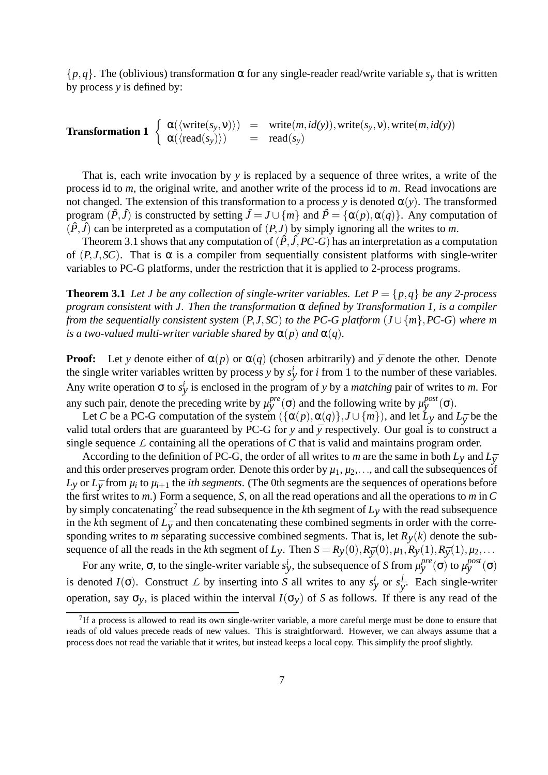$\{p,q\}$ . The (oblivious) transformation  $\alpha$  for any single-reader read/write variable  $s_y$  that is written by process *y* is defined by:

**Transformation 1** 
$$
\begin{cases} \alpha(\langle \text{write}(s_y, v) \rangle) = \text{write}(m, id(y)), \text{write}(s_y, v), \text{write}(m, id(y)) \\ \alpha(\langle \text{read}(s_y) \rangle) = \text{read}(s_y) \end{cases}
$$

That is, each write invocation by *y* is replaced by a sequence of three writes, a write of the process id to *m*, the original write, and another write of the process id to *m*. Read invocations are not changed. The extension of this transformation to a process *y* is denoted  $\alpha(y)$ . The transformed program  $(\hat{P}, \hat{J})$  is constructed by setting  $\hat{J} = J \cup \{m\}$  and  $\hat{P} = \{\alpha(p), \alpha(q)\}\$ . Any computation of  $(\hat{P}, \hat{J})$  can be interpreted as a computation of  $(P, J)$  by simply ignoring all the writes to *m*.

Theorem 3.1 shows that any computation of  $(\hat{P}, \hat{J}, PC-G)$  has an interpretation as a computation of  $(P, J, SC)$ . That is  $\alpha$  is a compiler from sequentially consistent platforms with single-writer variables to PC-G platforms, under the restriction that it is applied to 2-process programs.

**Theorem 3.1** *Let J be any collection of single-writer variables. Let*  $P = \{p, q\}$  *be any* 2-process *program consistent with J. Then the transformation* α *defined by Transformation 1, is a compiler from* the sequentially consistent system  $(P, J, SC)$  to the PC-G platform  $(J \cup \{m\}, PC-G)$  where m *is a two-valued multi-writer variable shared by*  $\alpha(p)$  *and*  $\alpha(q)$ *.* 

**Proof:** Let *y* denote either of  $\alpha(p)$  or  $\alpha(q)$  (chosen arbitrarily) and  $\bar{y}$  denote the other. Denote the single writer variables written by process *y* by  $s_y^i$  for *i* from 1 to the number of these variables. Any write operation  $\sigma$  to  $s_y^i$  is enclosed in the program of *y* by a *matching* pair of writes to *m*. For any such pair, denote the preceding write by  $\mu_y^{pre}(\sigma)$  and the following write by  $\mu_y^{post}(\sigma)$ .

Let *C* be a PC-G computation of the system  $({\alpha(p), \alpha(q)}, J \cup \{m\})$ , and let  $L_y$  and  $L_{\bar{y}}$  be the valid total orders that are guaranteed by PC-G for  $y$  and  $\bar{y}$  respectively. Our goal is to construct a single sequence  $\mathcal L$  containing all the operations of  $C$  that is valid and maintains program order.

According to the definition of PC-G, the order of all writes to *m* are the same in both  $L_y$  and  $L_{\overline{y}}$ and this order preserves program order. Denote this order by  $\mu_1, \mu_2, \ldots$ , and call the subsequences of  $L_y$  or  $L_{\bar{y}}$  from  $\mu_i$  to  $\mu_{i+1}$  the *ith segments*. (The 0th segments are the sequences of operations before the first writes to *m*.) Form a sequence, *S*, on all the read operations and all the operations to *m* in*C* by simply concatenating<sup>7</sup> the read subsequence in the  $k$ th segment of  $L_y$  with the read subsequence in the *k*th segment of  $L_{\bar{y}}$  and then concatenating these combined segments in order with the corresponding writes to *m* separating successive combined segments. That is, let  $R<sub>V</sub>(k)$  denote the subsequence of all the reads in the *k*th segment of *Ly*. Then  $S = R_y(0), R_{\bar{y}}(0), \mu_1, R_y(1), R_{\bar{y}}(1), \mu_2, \dots$ 

For any write,  $\sigma$ , to the single-writer variable  $s_y^i$ , the subsequence of *S* from  $\mu_y^{pre}(\sigma)$  to  $\mu_y^{post}(\sigma)$ is denoted *I*( $\sigma$ ). Construct *L* by inserting into *S* all writes to any  $s_y^i$  or  $s_y^j$  $\overline{y}$ . Each single-writer operation, say  $\sigma_v$ , is placed within the interval  $I(\sigma_v)$  of *S* as follows. If there is any read of the

 $<sup>7</sup>$ If a process is allowed to read its own single-writer variable, a more careful merge must be done to ensure that</sup> reads of old values precede reads of new values. This is straightforward. However, we can always assume that a process does not read the variable that it writes, but instead keeps a local copy. This simplify the proof slightly.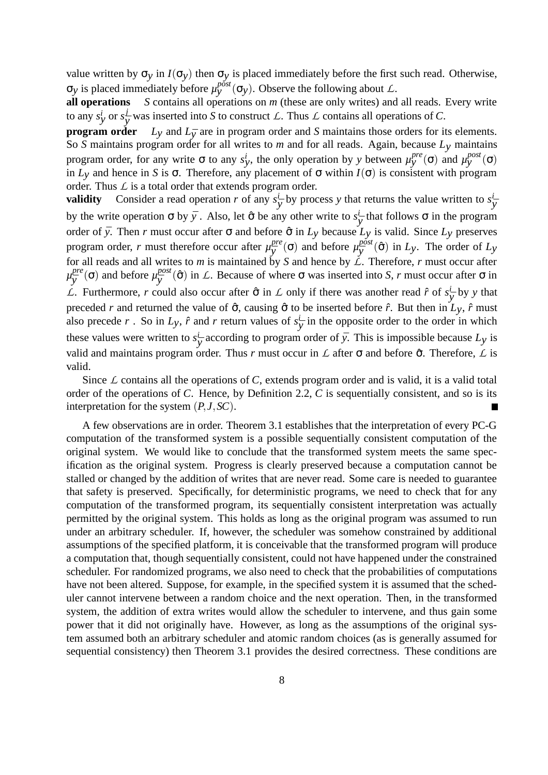value written by  $\sigma_y$  in  $I(\sigma_y)$  then  $\sigma_y$  is placed immediately before the first such read. Otherwise, σ<sub>*y*</sub> is placed immediately before  $\mu_y^{post}$  (σ<sub>*y*</sub>). Observe the following about *L*.

**all operations** *S* contains all operations on *m* (these are only writes) and all reads. Every write to any  $s_y^i$  or  $s_{\overline{\mathfrak{y}}}^j$  $\frac{J}{\overline{y}}$  was inserted into *S* to construct *L*. Thus *L* contains all operations of *C*.

**program** order  $L_y$  and  $L_{\bar{y}}$  are in program order and *S* maintains those orders for its elements. So *S* maintains program order for all writes to *m* and for all reads. Again, because *Ly* maintains program order, for any write  $\sigma$  to any  $s_y^i$ , the only operation by *y* between  $\mu_y^{pre}(\sigma)$  and  $\mu_y^{post}(\sigma)$ in *Ly* and hence in *S* is  $\sigma$ . Therefore, any placement of  $\sigma$  within  $I(\sigma)$  is consistent with program order. Thus *L* is a total order that extends program order.

**validity** Consider a read operation *r* of any  $s^i_{\overline{y}}$  by process *y* that returns the value written to  $s^i_{\overline{y}}$ by the write operation  $\sigma$  by  $\bar{y}$ . Also, let  $\hat{\sigma}$  be any other write to  $s^i_{\bar{y}}$  that follows  $\sigma$  in the program order of *y*. Then *r* must occur after  $\sigma$  and before  $\hat{\sigma}$  in  $L_y$  because  $L_y$  is valid. Since  $L_y$  preserves program order, *r* must therefore occur after  $\mu_{\overline{v}}^{pre}$  $\frac{pre}{\overline{y}}(\sigma)$  and before  $\mu_{\overline{y}}^{post}$  $\int \frac{p}{y}$ <sup>ost</sup> (<del>ô</del>) in *Ly*. The order of *Ly* for all reads and all writes to *m* is maintained by *S* and hence by  $\angle$ . Therefore, *r* must occur after *µ pre*  $y^{pre}_{\bar{y}}(\sigma)$  and before  $\mu_{\bar{y}}^{post}$  $y_{\bar{y}}^{post}(\hat{\sigma})$  in *L*. Because of where  $\sigma$  was inserted into *S*, *r* must occur after  $\sigma$  in *L*. Furthermore, *r* could also occur after  $\hat{\sigma}$  in *L* only if there was another read  $\hat{r}$  of  $s^i_{\overline{y}}$  by *y* that preceded *r* and returned the value of  $\hat{\sigma}$ , causing  $\hat{\sigma}$  to be inserted before  $\hat{r}$ . But then in  $L_v$ ,  $\hat{r}$  must also precede *r*. So in  $L_y$ ,  $\hat{r}$  and *r* return values of  $s^i_{\overline{y}}$  in the opposite order to the order in which these values were written to  $s^i_{\overline{y}}$  according to program order of  $\overline{y}$ . This is impossible because  $Ly$  is valid and maintains program order. Thus *r* must occur in  $\mathcal L$  after  $\sigma$  and before  $\hat{\sigma}$ . Therefore,  $\mathcal L$  is valid.

Since  $\mathcal L$  contains all the operations of  $\mathcal C$ , extends program order and is valid, it is a valid total order of the operations of *C*. Hence, by Definition 2.2, *C* is sequentially consistent, and so is its interpretation for the system  $(P, J, SC)$ .

A few observations are in order. Theorem 3.1 establishes that the interpretation of every PC-G computation of the transformed system is a possible sequentially consistent computation of the original system. We would like to conclude that the transformed system meets the same specification as the original system. Progress is clearly preserved because a computation cannot be stalled or changed by the addition of writes that are never read. Some care is needed to guarantee that safety is preserved. Specifically, for deterministic programs, we need to check that for any computation of the transformed program, its sequentially consistent interpretation was actually permitted by the original system. This holds as long as the original program was assumed to run under an arbitrary scheduler. If, however, the scheduler was somehow constrained by additional assumptions of the specified platform, it is conceivable that the transformed program will produce a computation that, though sequentially consistent, could not have happened under the constrained scheduler. For randomized programs, we also need to check that the probabilities of computations have not been altered. Suppose, for example, in the specified system it is assumed that the scheduler cannot intervene between a random choice and the next operation. Then, in the transformed system, the addition of extra writes would allow the scheduler to intervene, and thus gain some power that it did not originally have. However, as long as the assumptions of the original system assumed both an arbitrary scheduler and atomic random choices (as is generally assumed for sequential consistency) then Theorem 3.1 provides the desired correctness. These conditions are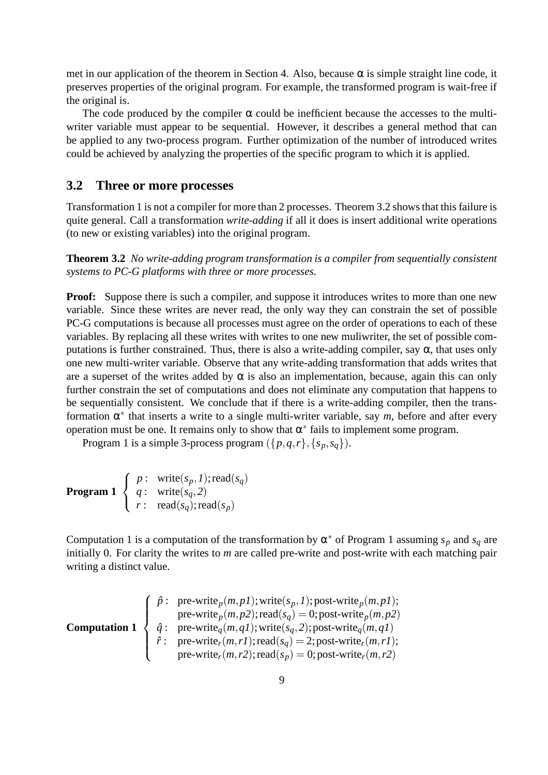met in our application of the theorem in Section 4. Also, because  $\alpha$  is simple straight line code, it preserves properties of the original program. For example, the transformed program is wait-free if the original is.

The code produced by the compiler  $\alpha$  could be inefficient because the accesses to the multiwriter variable must appear to be sequential. However, it describes a general method that can be applied to any two-process program. Further optimization of the number of introduced writes could be achieved by analyzing the properties of the specific program to which it is applied.

### **3.2 Three or more processes**

Transformation 1 is not a compiler for more than 2 processes. Theorem 3.2 showsthat thisfailure is quite general. Call a transformation *write-adding* if all it does is insert additional write operations (to new or existing variables) into the original program.

**Theorem 3.2** *No write-adding program transformation is a compiler from sequentially consistent systems to PC-G platforms with three or more processes.*

**Proof:** Suppose there is such a compiler, and suppose it introduces writes to more than one new variable. Since these writes are never read, the only way they can constrain the set of possible PC-G computations is because all processes must agree on the order of operations to each of these variables. By replacing all these writes with writes to one new muliwriter, the set of possible computations is further constrained. Thus, there is also a write-adding compiler, say  $\alpha$ , that uses only one new multi-writer variable. Observe that any write-adding transformation that adds writes that are a superset of the writes added by  $\alpha$  is also an implementation, because, again this can only further constrain the set of computations and does not eliminate any computation that happens to be sequentially consistent. We conclude that if there is a write-adding compiler, then the transformation  $\alpha^*$  that inserts a write to a single multi-writer variable, say  $m$ , before and after every operation must be one. It remains only to show that  $\alpha^*$  fails to implement some program.

Program 1 is a simple 3-process program  $({p,q,r}, {s_p, s_q})$ .

| <b>Program 1</b> $\langle q: \text{write}(s_q, 2) \rangle$ | $\int p: \text{write}(s_p, I); \text{read}(s_q)$        |
|------------------------------------------------------------|---------------------------------------------------------|
|                                                            | $\left[ r: \text{ read}(s_q); \text{read}(s_p) \right]$ |

Computation 1 is a computation of the transformation by  $\alpha^*$  of Program 1 assuming  $s_p$  and  $s_q$  are initially 0. For clarity the writes to *m* are called pre-write and post-write with each matching pair writing a distinct value.

| $\hat{p}$ : pre-write <sub>p</sub> (m,p1); write( $s_p, 1$ ); post-write <sub>p</sub> (m,p1);<br>pre-write <sub>p</sub> (m,p2); read( $s_q$ ) = 0; post-write <sub>p</sub> (m,p2)\n  |
|--------------------------------------------------------------------------------------------------------------------------------------------------------------------------------------|
| $\hat{q}$ : pre-write <sub>q</sub> (m,q1); write( $s_q, 2$ ); post-write <sub>q</sub> (m,q1)\n                                                                                       |
| $\hat{r}$ : pre-write <sub>r</sub> (m,r1); read( $s_q$ ) = 2; post-write <sub>r</sub> (m,r1);<br>pre-write <sub>r</sub> (m,r2); read( $s_p$ ) = 0; post-write <sub>r</sub> (m,r2);\n |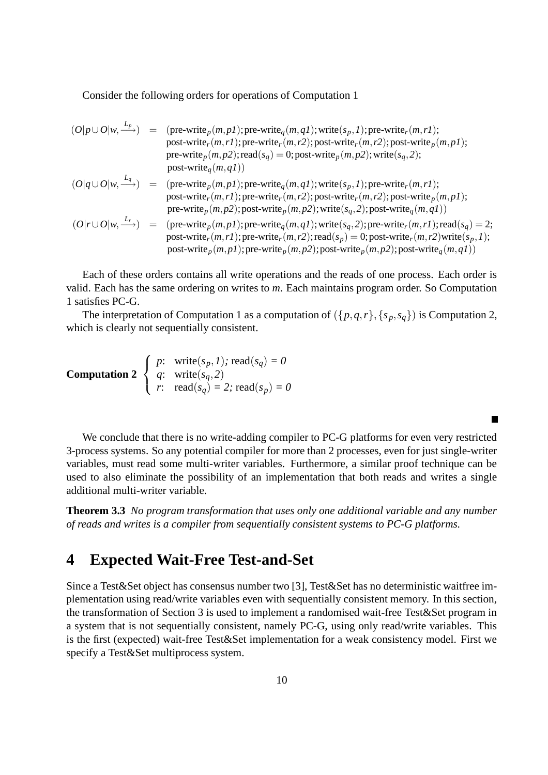Consider the following orders for operations of Computation 1

$$
(O|p \cup O|w, \xrightarrow{L_p}) = (\text{pre-write}_p(m, p1); \text{pre-write}_q(m, q1); \text{write}(s_p, 1); \text{pre-write}_r(m, r1);
$$
\npost-write}\_r(m, r1); \text{pre-write}\_r(m, r2); \text{post-write}\_p(m, p2); \text{root-write}\_p(m, p2);\n
$$
\text{pre-write}_p(m, p2); \text{read}(s_q) = 0; \text{post-write}_p(m, p2); \text{write}(s_q, 2);
$$
\npost-write}\_q(m, q1))\n
$$
(O|q \cup O|w, \xrightarrow{L_q}) = (\text{pre-write}_p(m, p1); \text{pre-write}_q(m, q1); \text{write}(s_p, 1); \text{pre-write}_r(m, r1);
$$
\npost-write}\_r(m, r1); \text{post-write}\_r(m, r2); \text{post-write}\_r(m, r2); \text{post-write}\_p(m, p2);\n
$$
(O|r \cup O|w, \xrightarrow{L_r}) = (\text{pre-write}_p(m, p1); \text{pre-write}_p(m, q1); \text{write}(s_q, 2); \text{post-write}_q(m, q1))
$$
\n
$$
(O|r \cup O|w, \xrightarrow{L_r}) = (\text{pre-write}_p(m, p1); \text{pre-write}_q(m, q1); \text{write}(s_q, 2); \text{post-write}_r(m, r1); \text{read}(s_q) = 2; \text{post-write}_r(m, r1); \text{pre-write}_p(m, p2); \text{post-write}_r(m, r2); \text{root-write}_p(m, p2); \text{post-write}_p(m, p2); \text{post-write}_p(m, p2); \text{post-write}_p(m, q1))
$$

Each of these orders contains all write operations and the reads of one process. Each order is valid. Each has the same ordering on writes to *m*. Each maintains program order. So Computation 1 satisfies PC-G.

The interpretation of Computation 1 as a computation of  $({p,q,r},{s_p},{s_q})$  is Computation 2, which is clearly not sequentially consistent.

**Computation 2** 
$$
\begin{cases} p: \text{ write}(s_p, 1); \text{ read}(s_q) = 0\\ q: \text{ write}(s_q, 2)\\ r: \text{ read}(s_q) = 2; \text{ read}(s_p) = 0 \end{cases}
$$

We conclude that there is no write-adding compiler to PC-G platforms for even very restricted 3-process systems. So any potential compiler for more than 2 processes, even for just single-writer variables, must read some multi-writer variables. Furthermore, a similar proof technique can be used to also eliminate the possibility of an implementation that both reads and writes a single additional multi-writer variable.

 $\blacksquare$ 

**Theorem 3.3** *No program transformation that uses only one additional variable and any number of reads and writes is a compiler from sequentially consistent systems to PC-G platforms.*

## **4 Expected Wait-Free Test-and-Set**

Since a Test&Set object has consensus number two [3], Test&Set has no deterministic waitfree implementation using read/write variables even with sequentially consistent memory. In this section, the transformation of Section 3 is used to implement a randomised wait-free Test&Set program in a system that is not sequentially consistent, namely PC-G, using only read/write variables. This is the first (expected) wait-free Test&Set implementation for a weak consistency model. First we specify a Test&Set multiprocess system.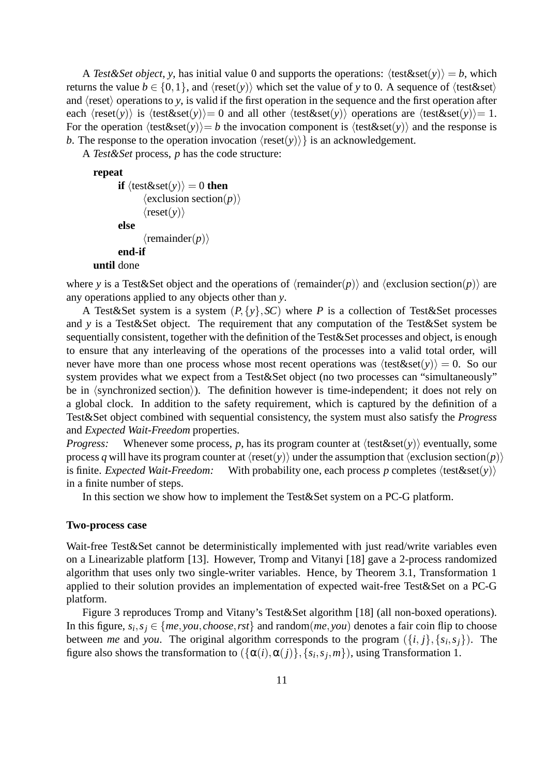A Test&Set *object*, *y*, has initial value 0 and supports the operations:  $\langle test&set(v) \rangle = b$ , which returns the value  $b \in \{0,1\}$ , and  $\langle \text{reset}(y) \rangle$  which set the value of *y* to 0. A sequence of  $\langle \text{test} \& \text{set} \rangle$ and  $\langle$ reset $\rangle$  operations to *y*, is valid if the first operation in the sequence and the first operation after each  $\langle \text{reset}(y) \rangle$  is  $\langle \text{test} \&set(y) \rangle = 0$  and all other  $\langle \text{test} \&set(y) \rangle$  operations are  $\langle \text{test} \&set(y) \rangle = 1$ . For the operation  $\langle test\&set(y)\rangle = b$  the invocation component is  $\langle test\&set(y)\rangle$  and the response is *b*. The response to the operation invocation  $\langle \text{reset}(y) \rangle$  is an acknowledgement.

A *Test&Set* process, *p* has the code structure:

#### **repeat**

```
if \langle \text{test} \&set(\mathbf{y}) \rangle = 0 then
                    \langleexclusion section(p)\rangle\langle \text{reset}(y) \rangleelse
                    \langleremainder(p)\rangleend-if
until done
```
where *y* is a Test&Set object and the operations of  $\langle$ remainder $(p)$  and  $\langle$ exclusion section $(p)$  are any operations applied to any objects other than *y*.

A Test&Set system is a system  $(P, \{y\}, \mathcal{SC})$  where P is a collection of Test&Set processes and *y* is a Test&Set object. The requirement that any computation of the Test&Set system be sequentially consistent, together with the definition of the Test&Set processes and object, is enough to ensure that any interleaving of the operations of the processes into a valid total order, will never have more than one process whose most recent operations was  $\langle test&set(v) \rangle = 0$ . So our system provides what we expect from a Test&Set object (no two processes can "simultaneously" be in  $\langle$ synchronized section $\rangle$ ). The definition however is time-independent; it does not rely on a global clock. In addition to the safety requirement, which is captured by the definition of a Test&Set object combined with sequential consistency, the system must also satisfy the *Progress* and *Expected Wait-Freedom* properties.

*Progress:* Whenever some process, p, has its program counter at  $\langle \text{test} \&set(y) \rangle$  eventually, some process *q* will have its program counter at  $\langle \text{reset}(y) \rangle$  under the assumption that  $\langle \text{exclusion section}(p) \rangle$ is finite. *Expected Wait-Freedom:* With probability one, each process p completes  $\langle \text{test&set}(y) \rangle$ in a finite number of steps.

In this section we show how to implement the Test&Set system on a PC-G platform.

#### **Two-process case**

Wait-free Test&Set cannot be deterministically implemented with just read/write variables even on a Linearizable platform [13]. However, Tromp and Vitanyi [18] gave a 2-process randomized algorithm that uses only two single-writer variables. Hence, by Theorem 3.1, Transformation 1 applied to their solution provides an implementation of expected wait-free Test&Set on a PC-G platform.

Figure 3 reproduces Tromp and Vitany's Test&Set algorithm [18] (all non-boxed operations). In this figure,  $s_i, s_j \in \{me, you, choose, rst\}$  and  $random(me, you)$  denotes a fair coin flip to choose between *me* and *you*. The original algorithm corresponds to the program  $({i, j}, {s_i, s_j})$ . The figure also shows the transformation to  $(\{\alpha(i), \alpha(j)\}, \{s_i, s_j, m\})$ , using Transformation 1.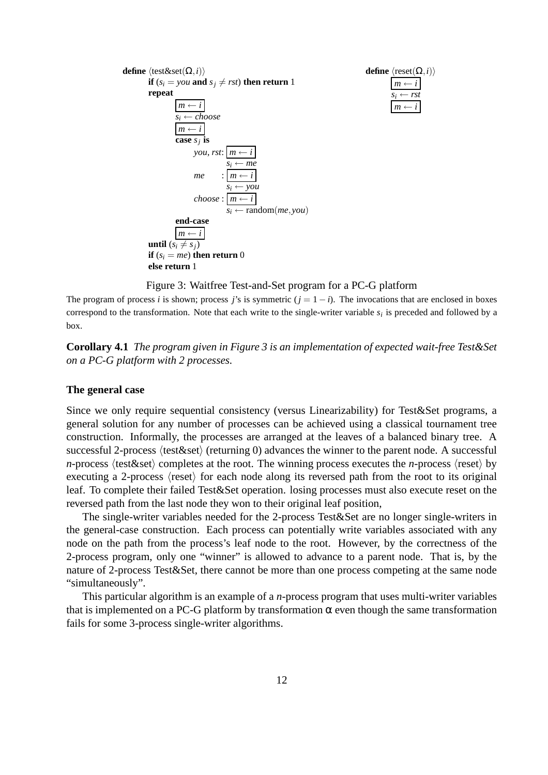

Figure 3: Waitfree Test-and-Set program for a PC-G platform

The program of process *i* is shown; process *j*'s is symmetric  $(j = 1 - i)$ . The invocations that are enclosed in boxes correspond to the transformation. Note that each write to the single-writer variable *s<sup>i</sup>* is preceded and followed by a box.

**Corollary 4.1** *The program given in Figure 3 is an implementation of expected wait-free Test&Set on a PC-G platform with 2 processes.*

### **The general case**

Since we only require sequential consistency (versus Linearizability) for Test&Set programs, a general solution for any number of processes can be achieved using a classical tournament tree construction. Informally, the processes are arranged at the leaves of a balanced binary tree. A successful 2-process  $\langle$  test $\&$ set $\rangle$  (returning 0) advances the winner to the parent node. A successful *n*-process  $\langle$  test&set $\rangle$  completes at the root. The winning process executes the *n*-process  $\langle$  reset $\rangle$  by executing a 2-process  $\langle \text{reset} \rangle$  for each node along its reversed path from the root to its original leaf. To complete their failed Test&Set operation. losing processes must also execute reset on the reversed path from the last node they won to their original leaf position,

The single-writer variables needed for the 2-process Test&Set are no longer single-writers in the general-case construction. Each process can potentially write variables associated with any node on the path from the process's leaf node to the root. However, by the correctness of the 2-process program, only one "winner" is allowed to advance to a parent node. That is, by the nature of 2-process Test&Set, there cannot be more than one process competing at the same node "simultaneously".

This particular algorithm is an example of a *n*-process program that uses multi-writer variables that is implemented on a PC-G platform by transformation  $\alpha$  even though the same transformation fails for some 3-process single-writer algorithms.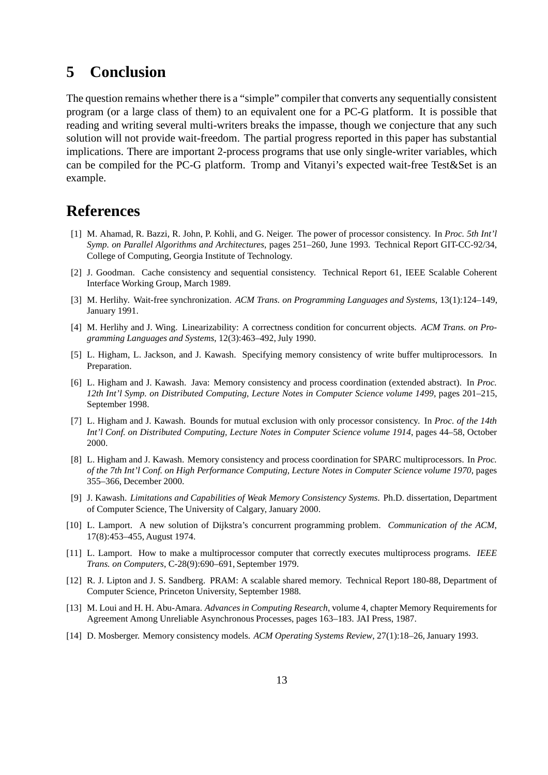# **5 Conclusion**

The question remains whether there is a "simple" compiler that converts any sequentially consistent program (or a large class of them) to an equivalent one for a PC-G platform. It is possible that reading and writing several multi-writers breaks the impasse, though we conjecture that any such solution will not provide wait-freedom. The partial progress reported in this paper has substantial implications. There are important 2-process programs that use only single-writer variables, which can be compiled for the PC-G platform. Tromp and Vitanyi's expected wait-free Test&Set is an example.

### **References**

- [1] M. Ahamad, R. Bazzi, R. John, P. Kohli, and G. Neiger. The power of processor consistency. In *Proc. 5th Int'l Symp. on Parallel Algorithms and Architectures*, pages 251–260, June 1993. Technical Report GIT-CC-92/34, College of Computing, Georgia Institute of Technology.
- [2] J. Goodman. Cache consistency and sequential consistency. Technical Report 61, IEEE Scalable Coherent Interface Working Group, March 1989.
- [3] M. Herlihy. Wait-free synchronization. *ACM Trans. on Programming Languages and Systems*, 13(1):124–149, January 1991.
- [4] M. Herlihy and J. Wing. Linearizability: A correctness condition for concurrent objects. *ACM Trans. on Programming Languages and Systems*, 12(3):463–492,July 1990.
- [5] L. Higham, L. Jackson, and J. Kawash. Specifying memory consistency of write buffer multiprocessors. In Preparation.
- [6] L. Higham and J. Kawash. Java: Memory consistency and process coordination (extended abstract). In *Proc. 12th Int'l Symp. on Distributed Computing, Lecture Notes in Computer Science volume 1499*, pages 201–215, September 1998.
- [7] L. Higham and J. Kawash. Bounds for mutual exclusion with only processor consistency. In *Proc. of the 14th Int'l Conf. on Distributed Computing, Lecture Notes in Computer Science volume 1914*, pages 44–58, October 2000.
- [8] L. Higham and J. Kawash. Memory consistency and process coordination for SPARC multiprocessors. In *Proc. of the 7th Int'l Conf. on High Performance Computing, Lecture Notes in Computer Science volume 1970*, pages 355–366, December 2000.
- [9] J. Kawash. *Limitations and Capabilities of Weak Memory Consistency Systems*. Ph.D. dissertation, Department of Computer Science, The University of Calgary, January 2000.
- [10] L. Lamport. A new solution of Dijkstra's concurrent programming problem. *Communication of the ACM*, 17(8):453–455, August 1974.
- [11] L. Lamport. How to make a multiprocessor computer that correctly executes multiprocess programs. *IEEE Trans. on Computers*, C-28(9):690–691, September 1979.
- [12] R. J. Lipton and J. S. Sandberg. PRAM: A scalable shared memory. Technical Report 180-88, Department of Computer Science, Princeton University, September 1988.
- [13] M. Loui and H. H. Abu-Amara. *Advances in Computing Research*, volume 4, chapter Memory Requirements for Agreement Among Unreliable Asynchronous Processes, pages 163–183. JAI Press, 1987.
- [14] D. Mosberger. Memory consistency models. *ACM Operating Systems Review*, 27(1):18–26, January 1993.